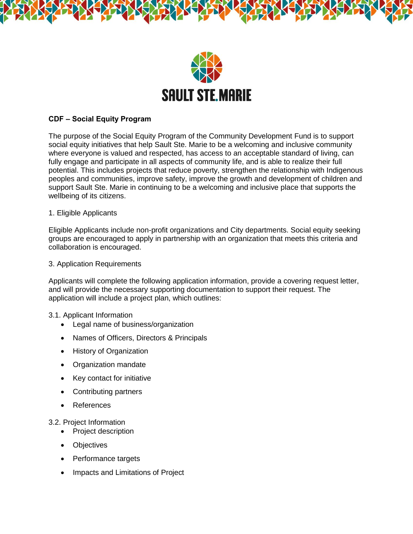

# **CDF – Social Equity Program**

The purpose of the Social Equity Program of the Community Development Fund is to support social equity initiatives that help Sault Ste. Marie to be a welcoming and inclusive community where everyone is valued and respected, has access to an acceptable standard of living, can fully engage and participate in all aspects of community life, and is able to realize their full potential. This includes projects that reduce poverty, strengthen the relationship with Indigenous peoples and communities, improve safety, improve the growth and development of children and support Sault Ste. Marie in continuing to be a welcoming and inclusive place that supports the wellbeing of its citizens.

## 1. Eligible Applicants

Eligible Applicants include non-profit organizations and City departments. Social equity seeking groups are encouraged to apply in partnership with an organization that meets this criteria and collaboration is encouraged.

3. Application Requirements

Applicants will complete the following application information, provide a covering request letter, and will provide the necessary supporting documentation to support their request. The application will include a project plan, which outlines:

## 3.1. Applicant Information

- Legal name of business/organization
- Names of Officers, Directors & Principals
- History of Organization
- Organization mandate
- Key contact for initiative
- Contributing partners
- References

## 3.2. Project Information

- Project description
- Objectives
- Performance targets
- Impacts and Limitations of Project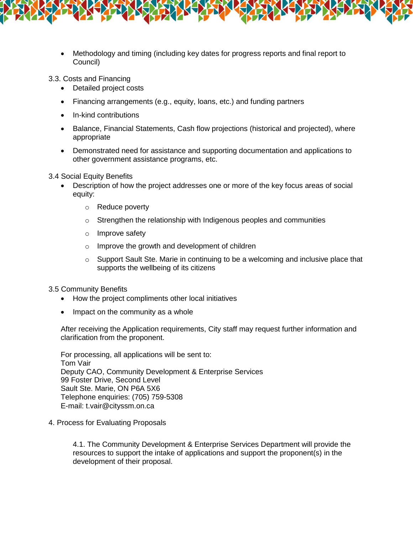

3.3. Costs and Financing

- Detailed project costs
- Financing arrangements (e.g., equity, loans, etc.) and funding partners
- In-kind contributions
- Balance, Financial Statements, Cash flow projections (historical and projected), where appropriate
- Demonstrated need for assistance and supporting documentation and applications to other government assistance programs, etc.

3.4 Social Equity Benefits

- Description of how the project addresses one or more of the key focus areas of social equity:
	- o Reduce poverty
	- o Strengthen the relationship with Indigenous peoples and communities
	- o Improve safety
	- o Improve the growth and development of children
	- $\circ$  Support Sault Ste. Marie in continuing to be a welcoming and inclusive place that supports the wellbeing of its citizens

3.5 Community Benefits

- How the project compliments other local initiatives
- $\bullet$  Impact on the community as a whole

After receiving the Application requirements, City staff may request further information and clarification from the proponent.

For processing, all applications will be sent to: Tom Vair Deputy CAO, Community Development & Enterprise Services 99 Foster Drive, Second Level Sault Ste. Marie, ON P6A 5X6 Telephone enquiries: (705) 759-5308 E-mail: t.vair@cityssm.on.ca

4. Process for Evaluating Proposals

4.1. The Community Development & Enterprise Services Department will provide the resources to support the intake of applications and support the proponent(s) in the development of their proposal.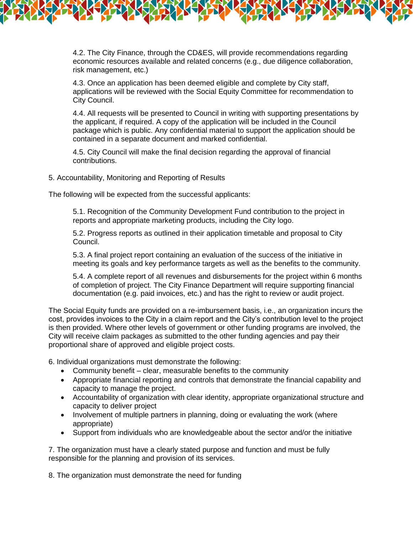4.2. The City Finance, through the CD&ES, will provide recommendations regarding economic resources available and related concerns (e.g., due diligence collaboration, risk management, etc.)

4.3. Once an application has been deemed eligible and complete by City staff, applications will be reviewed with the Social Equity Committee for recommendation to City Council.

4.4. All requests will be presented to Council in writing with supporting presentations by the applicant, if required. A copy of the application will be included in the Council package which is public. Any confidential material to support the application should be contained in a separate document and marked confidential.

4.5. City Council will make the final decision regarding the approval of financial contributions.

#### 5. Accountability, Monitoring and Reporting of Results

The following will be expected from the successful applicants:

5.1. Recognition of the Community Development Fund contribution to the project in reports and appropriate marketing products, including the City logo.

5.2. Progress reports as outlined in their application timetable and proposal to City Council.

5.3. A final project report containing an evaluation of the success of the initiative in meeting its goals and key performance targets as well as the benefits to the community.

5.4. A complete report of all revenues and disbursements for the project within 6 months of completion of project. The City Finance Department will require supporting financial documentation (e.g. paid invoices, etc.) and has the right to review or audit project.

The Social Equity funds are provided on a re-imbursement basis, i.e., an organization incurs the cost, provides invoices to the City in a claim report and the City's contribution level to the project is then provided. Where other levels of government or other funding programs are involved, the City will receive claim packages as submitted to the other funding agencies and pay their proportional share of approved and eligible project costs.

6. Individual organizations must demonstrate the following:

- Community benefit clear, measurable benefits to the community
- Appropriate financial reporting and controls that demonstrate the financial capability and capacity to manage the project.
- Accountability of organization with clear identity, appropriate organizational structure and capacity to deliver project
- Involvement of multiple partners in planning, doing or evaluating the work (where appropriate)
- Support from individuals who are knowledgeable about the sector and/or the initiative

7. The organization must have a clearly stated purpose and function and must be fully responsible for the planning and provision of its services.

8. The organization must demonstrate the need for funding